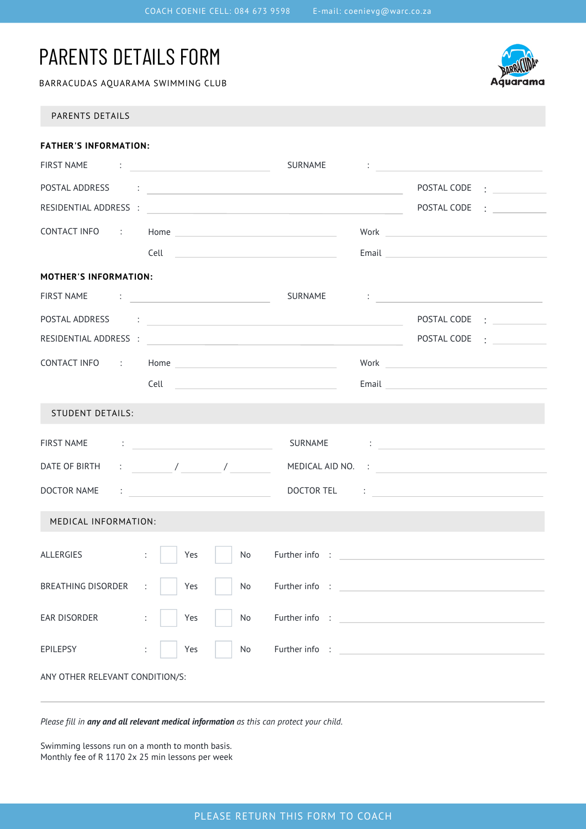# PARENTS DETAILS FORM

BARRACUDAS AQUARAMA SWIMMING CLUB



PARENTS DETAILS

| <b>FATHER'S INFORMATION:</b>                                                                  |  |                                                 |    |                                                                                                                |  |                                                                                                                                                                                                                                      |               |  |
|-----------------------------------------------------------------------------------------------|--|-------------------------------------------------|----|----------------------------------------------------------------------------------------------------------------|--|--------------------------------------------------------------------------------------------------------------------------------------------------------------------------------------------------------------------------------------|---------------|--|
|                                                                                               |  |                                                 |    | SURNAME                                                                                                        |  | <u> 1986 - An Aon Aon an Catharine ann an t-</u>                                                                                                                                                                                     |               |  |
|                                                                                               |  |                                                 |    |                                                                                                                |  |                                                                                                                                                                                                                                      | POSTAL CODE : |  |
|                                                                                               |  |                                                 |    |                                                                                                                |  |                                                                                                                                                                                                                                      |               |  |
|                                                                                               |  |                                                 |    |                                                                                                                |  |                                                                                                                                                                                                                                      |               |  |
|                                                                                               |  |                                                 |    |                                                                                                                |  | Email 2008 2009 2010 2021 2022 2023 2024 2022 2023 2024 2022 2023 2024 2022 2023 2024 2022 2023 2024 2022 2023                                                                                                                       |               |  |
| <b>MOTHER'S INFORMATION:</b>                                                                  |  |                                                 |    |                                                                                                                |  |                                                                                                                                                                                                                                      |               |  |
| FIRST NAME : [1994] SURNAME                                                                   |  |                                                 |    |                                                                                                                |  |                                                                                                                                                                                                                                      |               |  |
|                                                                                               |  |                                                 |    | POSTAL ADDRESS : [1995] [1996] [1996] [1996] [1996] [1996] [1996] [1996] [1996] [1996] [1996] [1996] [1996] [1 |  |                                                                                                                                                                                                                                      |               |  |
|                                                                                               |  |                                                 |    |                                                                                                                |  |                                                                                                                                                                                                                                      |               |  |
|                                                                                               |  |                                                 |    |                                                                                                                |  | Work <b>with the community of the community of the community</b>                                                                                                                                                                     |               |  |
|                                                                                               |  |                                                 |    |                                                                                                                |  | Email <u>Andreas and the second and the second second and the second second second second second second second second second second second second second second second second second second second second second second second s</u> |               |  |
| <b>STUDENT DETAILS:</b>                                                                       |  |                                                 |    |                                                                                                                |  |                                                                                                                                                                                                                                      |               |  |
| FIRST NAME                                                                                    |  | the contract of the contract of the contract of |    |                                                                                                                |  | SURNAME : <u>_______________________________</u>                                                                                                                                                                                     |               |  |
| DATE OF BIRTH $\qquad \qquad : \qquad \qquad / \qquad \qquad / \qquad \qquad / \qquad \qquad$ |  |                                                 |    |                                                                                                                |  | MEDICAL AID NO. :                                                                                                                                                                                                                    |               |  |
|                                                                                               |  |                                                 |    |                                                                                                                |  |                                                                                                                                                                                                                                      |               |  |
| MEDICAL INFORMATION:                                                                          |  |                                                 |    |                                                                                                                |  |                                                                                                                                                                                                                                      |               |  |
| ALLERGIES                                                                                     |  | $\mathbb{Z}^{\times}$<br>Yes                    | No |                                                                                                                |  |                                                                                                                                                                                                                                      |               |  |
| BREATHING DISORDER :                                                                          |  | $\vert$ Yes                                     | No | Further info :                                                                                                 |  |                                                                                                                                                                                                                                      |               |  |
| EAR DISORDER                                                                                  |  | Yes<br>$\ddot{\phantom{a}}$                     | No |                                                                                                                |  |                                                                                                                                                                                                                                      |               |  |
| EPILEPSY                                                                                      |  | Yes                                             | No |                                                                                                                |  |                                                                                                                                                                                                                                      |               |  |
| ANY OTHER RELEVANT CONDITION/S:                                                               |  |                                                 |    |                                                                                                                |  |                                                                                                                                                                                                                                      |               |  |

*Please fill in any and all relevant medical information as this can protect your child.*

Swimming lessons run on a month to month basis. Monthly fee of R 1170 2x 25 min lessons per week